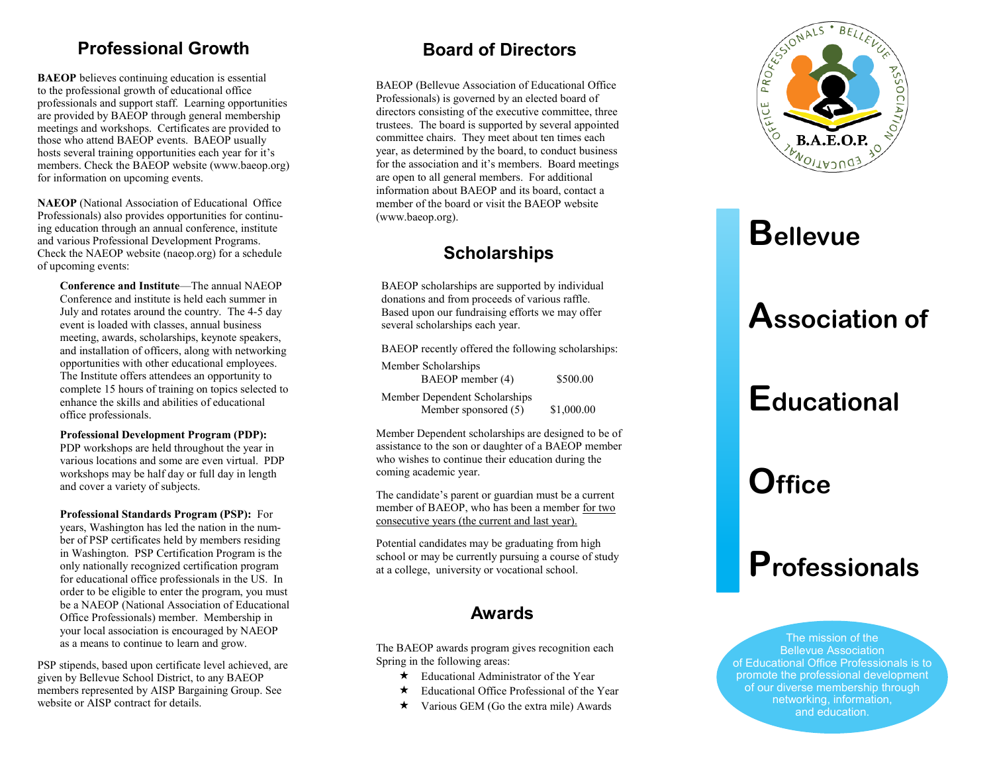### Professional Growth

BAEOP believes continuing education is essential to the professional growth of educational office professionals and support staff. Learning opportunities are provided by BAEOP through general membership meetings and workshops. Certificates are provided to those who attend BAEOP events. BAEOP usually hosts several training opportunities each year for it 's members. Check the BAEOP website (www.baeop.org) for information on upcoming events.

NAEOP (National Association of Educational Office Professionals) also provides opportunities for continuing education through an annual conference, institute and various Professional Development Programs. Check the NAEOP website (naeop.org) for a schedule of upcoming events:

Conference and Institute —The annual NAEOP Conference and institute is held each summer in July and rotates around the country. The 4 -5 day event is loaded with classes, annual business meeting, awards, scholarships, keynote speakers, and installation of officers, along with networking opportunities with other educational employees. The Institute offers attendees an opportunity to complete 15 hours of training on topics selected to enhance the skills and abilities of educational office professionals.

#### Professional Development Program (PDP):

PDP workshops are held throughout the year in various locations and some are even virtual. PDP workshops may be half day or full day in length and cover a variety of subjects.

Professional Standards Program (PSP): For years, Washington has led the nation in the number of PSP certificates held by members residing in Washington. PSP Certification Program is the only nationally recognized certification program for educational office professionals in the US. In order to be eligible to enter the program, you must be a NAEOP (National Association of Educational Office Professionals) member. Membership in your local association is encouraged by NAEOP as a means to continue to learn and grow.

PSP stipends, based upon certificate level achieved, are given by Bellevue School District, to any BAEOP members represented by AISP Bargaining Group. See website or AISP contract for details.

### Board of Directors

BAEOP (Bellevue Association of Educational Office Professionals) is governed by an elected board of directors consisting of the executive committee, three trustees. The board is supported by several appointed committee chairs. They meet about ten times each year, as determined by the board, to conduct business for the association and it 's members. Board meetings are open to all general members. For additional information about BAEOP and its board, contact a member of the board or visit the BAEOP website (www.baeop.org).

### **Scholarships**

BAEOP scholarships are supported by individual donations and from proceeds of various raffle. Based upon our fundraising efforts we may offer several scholarships each year.

BAEOP recently offered the following scholarships: Member Scholarships BAEOP member (4) \$500.00 Member Dependent Scholarships Member sponsored (5) \$1,000.00

Member Dependent scholarships are designed to be of assistance to the son or daughter of a BAEOP member who wishes to continue their education during the coming academic year.

The candidate 's parent or guardian must be a current member of BAEOP, who has been a member for two consecutive years (the current and last year).

Potential candidates may be graduating from high school or may be currently pursuing a course of study at a college, university or vocational school.

### Awards

The BAEOP awards program gives recognition each Spring in the following areas:

- $\star$  Educational Administrator of the Year
- $\star$  Educational Office Professional of the Year
- $\star$  Various GEM (Go the extra mile) Awards



# **Bellevue**

## Association of

# **Educational**

# **Office**

## **Professionals**

The mission of the Bellevue Association of Educational Office Professionals is to promote the professional development of our diverse membership through networking, information, and education.